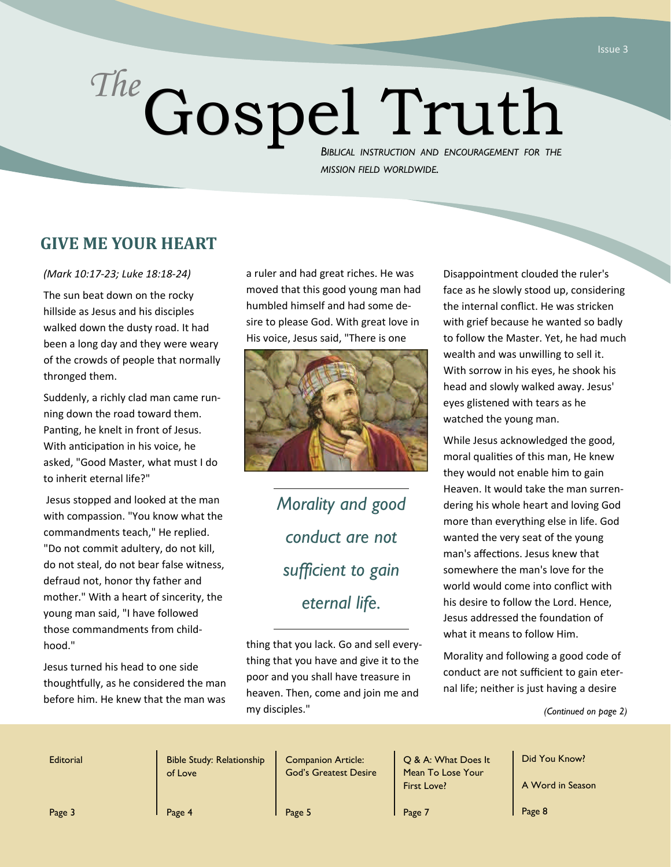# Gospel Truth *The*

**BIBLICAL INSTRUCTION AND ENCOURAGEMENT FOR THE** *MISSION FIELD WORLDWIDE. MISSION FIELD WORLDWIDE. BIBLICAL INSTRUCTION AND ENCOURAGEMENT FOR THE*

## **GIVE ME YOUR HEART**

#### *(Mark 10:17‐23; Luke 18:18‐24)*

The sun beat down on the rocky hillside as Jesus and his disciples walked down the dusty road. It had been a long day and they were weary of the crowds of people that normally thronged them.

Suddenly, a richly clad man came run‐ ning down the road toward them. Panting, he knelt in front of Jesus. With anticipation in his voice, he asked, "Good Master, what must I do to inherit eternal life?"

Jesus stopped and looked at the man with compassion. "You know what the commandments teach," He replied. "Do not commit adultery, do not kill, do not steal, do not bear false witness, defraud not, honor thy father and mother." With a heart of sincerity, the young man said, "I have followed those commandments from child‐ hood."

Jesus turned his head to one side thoughtfully, as he considered the man before him. He knew that the man was a ruler and had great riches. He was moved that this good young man had humbled himself and had some de‐ sire to please God. With great love in His voice, Jesus said, "There is one



*Morality and good conduct are not sufficient to gain eternal life.* 

thing that you lack. Go and sell every‐ thing that you have and give it to the poor and you shall have treasure in heaven. Then, come and join me and my disciples."

Disappointment clouded the ruler's face as he slowly stood up, considering the internal conflict. He was stricken with grief because he wanted so badly to follow the Master. Yet, he had much wealth and was unwilling to sell it. With sorrow in his eyes, he shook his head and slowly walked away. Jesus' eyes glistened with tears as he watched the young man.

While Jesus acknowledged the good, moral qualities of this man, He knew they would not enable him to gain Heaven. It would take the man surren‐ dering his whole heart and loving God more than everything else in life. God wanted the very seat of the young man's affections. Jesus knew that somewhere the man's love for the world would come into conflict with his desire to follow the Lord. Hence, Jesus addressed the foundation of what it means to follow Him.

Morality and following a good code of conduct are not sufficient to gain eter‐ nal life; neither is just having a desire

*(Continued on page 2)* 

**Editorial** 

Bible Study: Relationship of Love

Companion Article: God's Greatest Desire

Page 5

Q & A: What Does It Mean To Lose Your First Love?

Page 7

Did You Know?

A Word in Season

Page 3

Page 4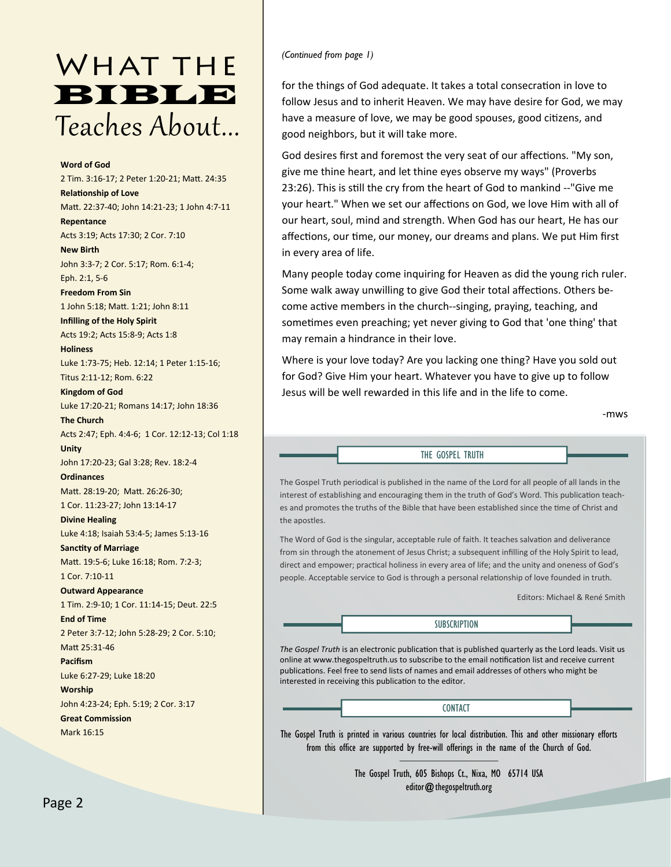# Teaches About... WHAT THE BIBLE

#### **Word of God**

2 Tim. 3:16‐17; 2 Peter 1:20‐21; MaƩ. 24:35 **RelaƟonship of Love** MaƩ. 22:37‐40; John 14:21‐23; 1 John 4:7‐11 **Repentance**

Acts 3:19; Acts 17:30; 2 Cor. 7:10

**New Birth** John 3:3‐7; 2 Cor. 5:17; Rom. 6:1‐4; Eph. 2:1, 5‐6

**Freedom From Sin**

1 John 5:18; MaƩ. 1:21; John 8:11 **Infilling of the Holy Spirit**

Acts 19:2; Acts 15:8‐9; Acts 1:8 **Holiness**

Luke 1:73‐75; Heb. 12:14; 1 Peter 1:15‐16;

Titus 2:11‐12; Rom. 6:22 **Kingdom of God** Luke 17:20‐21; Romans 14:17; John 18:36

**The Church** Acts 2:47; Eph. 4:4‐6; 1 Cor. 12:12‐13; Col 1:18 **Unity**

John 17:20‐23; Gal 3:28; Rev. 18:2‐4

**Ordinances** MaƩ. 28:19‐20; MaƩ. 26:26‐30; 1 Cor. 11:23‐27; John 13:14‐17

**Divine Healing** Luke 4:18; Isaiah 53:4‐5; James 5:13‐16

**SancƟty of Marriage** Matt. 19:5-6; Luke 16:18; Rom. 7:2-3;

1 Cor. 7:10‐11 **Outward Appearance** 1 Tim. 2:9‐10; 1 Cor. 11:14‐15; Deut. 22:5

**End of Time** 2 Peter 3:7‐12; John 5:28‐29; 2 Cor. 5:10;

Matt 25:31-46 **Pacifism**

Luke 6:27‐29; Luke 18:20

**Worship**

John 4:23‐24; Eph. 5:19; 2 Cor. 3:17

**Great Commission** Mark 16:15

*(Continued from page 1)* 

for the things of God adequate. It takes a total consecration in love to follow Jesus and to inherit Heaven. We may have desire for God, we may have a measure of love, we may be good spouses, good citizens, and good neighbors, but it will take more.

God desires first and foremost the very seat of our affections. "My son, give me thine heart, and let thine eyes observe my ways" (Proverbs 23:26). This is still the cry from the heart of God to mankind --"Give me your heart." When we set our affections on God, we love Him with all of our heart, soul, mind and strength. When God has our heart, He has our affections, our time, our money, our dreams and plans. We put Him first in every area of life.

Many people today come inquiring for Heaven as did the young rich ruler. Some walk away unwilling to give God their total affections. Others become active members in the church--singing, praying, teaching, and sometimes even preaching; yet never giving to God that 'one thing' that may remain a hindrance in their love.

Where is your love today? Are you lacking one thing? Have you sold out for God? Give Him your heart. Whatever you have to give up to follow Jesus will be well rewarded in this life and in the life to come.

‐mws

THE GOSPEL TRUTH

The Gospel Truth periodical is published in the name of the Lord for all people of all lands in the interest of establishing and encouraging them in the truth of God's Word. This publication teaches and promotes the truths of the Bible that have been established since the time of Christ and the apostles.

The Word of God is the singular, acceptable rule of faith. It teaches salvation and deliverance from sin through the atonement of Jesus Christ; a subsequent infilling of the Holy Spirit to lead, direct and empower; practical holiness in every area of life; and the unity and oneness of God's people. Acceptable service to God is through a personal relationship of love founded in truth.

Editors: Michael & René Smith

SUBSCRIPTION

*The Gospel Truth* is an electronic publication that is published quarterly as the Lord leads. Visit us online at www.thegospeltruth.us to subscribe to the email notification list and receive current publications. Feel free to send lists of names and email addresses of others who might be interested in receiving this publication to the editor.

CONTACT

The Gospel Truth is printed in various countries for local distribution. This and other missionary efforts from this office are supported by free-will offerings in the name of the Church of God.

> ————————— The Gospel Truth, 605 Bishops Ct., Nixa, MO 65714 USA [editor@thegospeltruth.](mailto:editor@thegospeltruth.org)org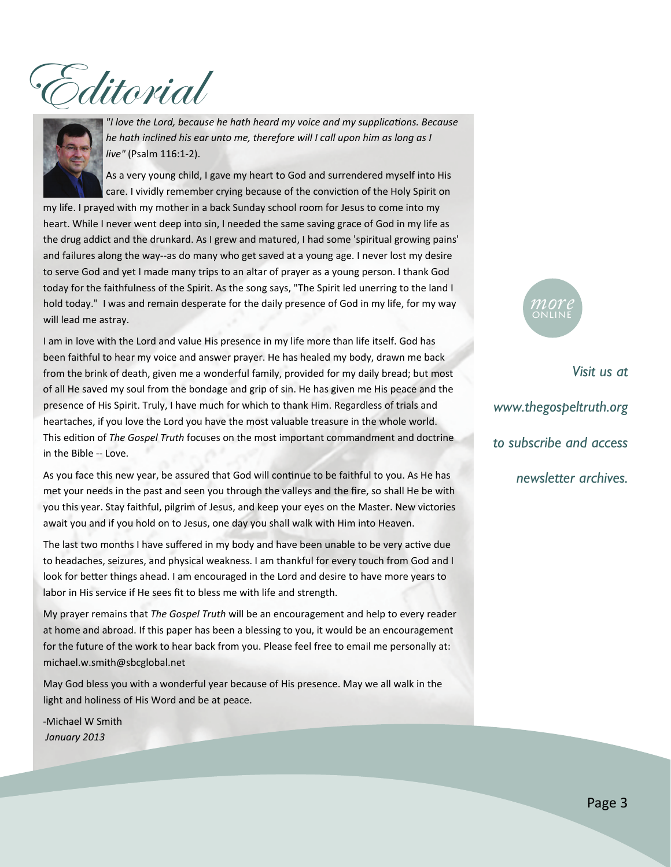

*"I love the Lord, because he hath heard my voice and my supplicaƟons. Because he hath inclined his ear unto me, therefore will I call upon him as long as I live"* (Psalm 116:1‐2).

As a very young child, I gave my heart to God and surrendered myself into His care. I vividly remember crying because of the conviction of the Holy Spirit on my life. I prayed with my mother in a back Sunday school room for Jesus to come into my heart. While I never went deep into sin, I needed the same saving grace of God in my life as the drug addict and the drunkard. As I grew and matured, I had some 'spiritual growing pains' and failures along the way--as do many who get saved at a young age. I never lost my desire to serve God and yet I made many trips to an altar of prayer as a young person. I thank God today for the faithfulness of the Spirit. As the song says, "The Spirit led unerring to the land I hold today." I was and remain desperate for the daily presence of God in my life, for my way will lead me astray.

I am in love with the Lord and value His presence in my life more than life itself. God has been faithful to hear my voice and answer prayer. He has healed my body, drawn me back from the brink of death, given me a wonderful family, provided for my daily bread; but most of all He saved my soul from the bondage and grip of sin. He has given me His peace and the presence of His Spirit. Truly, I have much for which to thank Him. Regardless of trials and heartaches, if you love the Lord you have the most valuable treasure in the whole world. This ediƟon of *The Gospel Truth* focuses on the most important commandment and doctrine in the Bible ‐‐ Love.

As you face this new year, be assured that God will continue to be faithful to you. As He has met your needs in the past and seen you through the valleys and the fire, so shall He be with you this year. Stay faithful, pilgrim of Jesus, and keep your eyes on the Master. New victories await you and if you hold on to Jesus, one day you shall walk with Him into Heaven.

The last two months I have suffered in my body and have been unable to be very active due to headaches, seizures, and physical weakness. I am thankful for every touch from God and I look for better things ahead. I am encouraged in the Lord and desire to have more years to labor in His service if He sees fit to bless me with life and strength.

My prayer remains that *The Gospel Truth* will be an encouragement and help to every reader at home and abroad. If this paper has been a blessing to you, it would be an encouragement for the future of the work to hear back from you. Please feel free to email me personally at: michael.w.smith@sbcglobal.net

May God bless you with a wonderful year because of His presence. May we all walk in the light and holiness of His Word and be at peace.

‐Michael W Smith *January 2013*

online *more* 

*Visit us at [www.thegospeltruth.](www.thegospeltruth.org)org to subscribe and access newsletter archives.*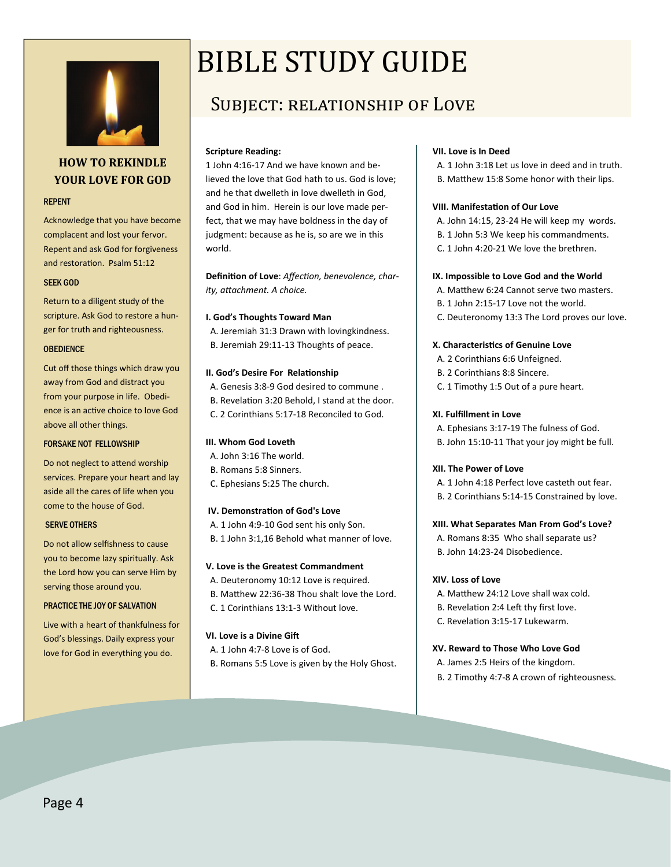

#### **HOW TO REKINDLE YOUR LOVE FOR GOD**

#### REPENT

Acknowledge that you have become complacent and lost your fervor. Repent and ask God for forgiveness and restoration. Psalm 51:12

#### SEEK GOD

Return to a diligent study of the scripture. Ask God to restore a hun‐ ger for truth and righteousness.

#### **OBEDIENCE**

Cut off those things which draw you away from God and distract you from your purpose in life. Obedi‐ ence is an active choice to love God above all other things.

#### FORSAKE NOT FELLOWSHIP

Do not neglect to attend worship services. Prepare your heart and lay aside all the cares of life when you come to the house of God.

#### SERVE OTHERS

Do not allow selfishness to cause you to become lazy spiritually. Ask the Lord how you can serve Him by serving those around you.

#### PRACTICE THE JOY OF SALVATION

Live with a heart of thankfulness for God's blessings. Daily express your love for God in everything you do.

# **BIBLE STUDY GUIDE**

## SUBJECT: RELATIONSHIP OF LOVE

#### **Scripture Reading:**

1 John 4:16‐17 And we have known and be‐ lieved the love that God hath to us. God is love; and he that dwelleth in love dwelleth in God, and God in him. Herein is our love made per‐ fect, that we may have boldness in the day of judgment: because as he is, so are we in this world.

**DefiniƟon of Love**: *AffecƟon, benevolence, char‐*  $i$ ty, attachment. A choice.

#### **I. God's Thoughts Toward Man**

 A. Jeremiah 31:3 Drawn with lovingkindness. B. Jeremiah 29:11‐13 Thoughts of peace.

#### **II.** God's Desire For Relationship

- A. Genesis 3:8‐9 God desired to commune .
- B. Revelation 3:20 Behold, I stand at the door.
- C. 2 Corinthians 5:17‐18 Reconciled to God.

#### **III. Whom God Loveth**

- A. John 3:16 The world.
- B. Romans 5:8 Sinners.
- C. Ephesians 5:25 The church.

#### **IV. DemonstraƟon of God's Love**

- A. 1 John 4:9‐10 God sent his only Son.
- B. 1 John 3:1,16 Behold what manner of love.

#### **V. Love is the Greatest Commandment**

- A. Deuteronomy 10:12 Love is required.
- B. Matthew 22:36-38 Thou shalt love the Lord.
- C. 1 Corinthians 13:1‐3 Without love.

#### $V1.$  Love is a Divine Gift

- A. 1 John 4:7‐8 Love is of God.
- B. Romans 5:5 Love is given by the Holy Ghost.

#### **VII. Love is In Deed**

 A. 1 John 3:18 Let us love in deed and in truth. B. Matthew 15:8 Some honor with their lips.

#### **VIII. ManifestaƟon of Our Love**

 A. John 14:15, 23‐24 He will keep my words. B. 1 John 5:3 We keep his commandments. C. 1 John 4:20‐21 We love the brethren.

#### **IX. Impossible to Love God and the World**

A. Matthew 6:24 Cannot serve two masters.

- B. 1 John 2:15‐17 Love not the world.
- C. Deuteronomy 13:3 The Lord proves our love.

#### **X. CharacterisƟcs of Genuine Love**

- A. 2 Corinthians 6:6 Unfeigned.
- B. 2 Corinthians 8:8 Sincere.
- C. 1 Timothy 1:5 Out of a pure heart.

#### **XI. Fulfillment in Love**

- A. Ephesians 3:17‐19 The fulness of God.
- B. John 15:10‐11 That your joy might be full.

#### **XII. The Power of Love**

- A. 1 John 4:18 Perfect love casteth out fear.
- B. 2 Corinthians 5:14‐15 Constrained by love.

#### **XIII. What Separates Man From God's Love?**

- A. Romans 8:35 Who shall separate us?
- B. John 14:23‐24 Disobedience.

#### **XIV. Loss of Love**

- A. Matthew 24:12 Love shall wax cold.
- B. Revelation 2:4 Left thy first love.
- C. Revelation 3:15-17 Lukewarm.

#### **XV. Reward to Those Who Love God**

- A. James 2:5 Heirs of the kingdom.
- B. 2 Timothy 4:7‐8 A crown of righteousness.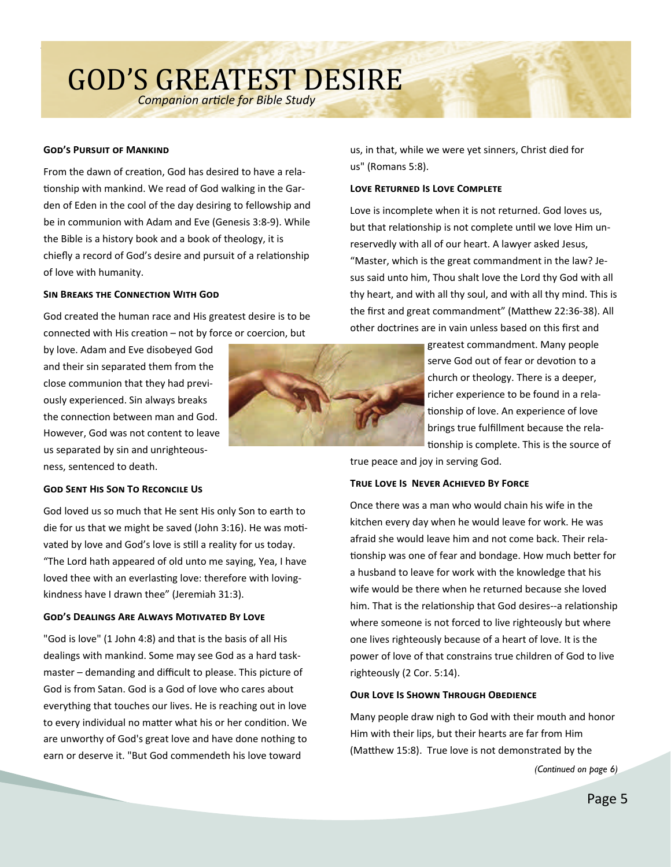# **GOD'S GREATEST DESIRE**

**Companion article for Bible Study** 

#### **GOD'S PURSUIT OF MANKIND**

From the dawn of creation, God has desired to have a relationship with mankind. We read of God walking in the Garden of Eden in the cool of the day desiring to fellowship and be in communion with Adam and Eve (Genesis 3:8-9). While the Bible is a history book and a book of theology, it is chiefly a record of God's desire and pursuit of a relationship of love with humanity.

#### **SIN BREAKS THE CONNECTION WITH GOD**

God created the human race and His greatest desire is to be connected with His creation - not by force or coercion, but

by love. Adam and Eve disobeyed God and their sin separated them from the close communion that they had previously experienced. Sin always breaks the connection between man and God. However, God was not content to leave us separated by sin and unrighteousness, sentenced to death.

us, in that, while we were yet sinners, Christ died for us" (Romans 5:8).

#### **LOVE RETURNED IS LOVE COMPLETE**

Love is incomplete when it is not returned. God loves us, but that relationship is not complete until we love Him unreservedly with all of our heart. A lawyer asked Jesus, "Master, which is the great commandment in the law? Jesus said unto him, Thou shalt love the Lord thy God with all thy heart, and with all thy soul, and with all thy mind. This is the first and great commandment" (Matthew 22:36-38). All other doctrines are in vain unless based on this first and

> greatest commandment. Many people serve God out of fear or devotion to a church or theology. There is a deeper, richer experience to be found in a relationship of love. An experience of love brings true fulfillment because the relationship is complete. This is the source of

true peace and joy in serving God.

#### TRUE LOVE IS NEVER ACHIEVED BY FORCE

Once there was a man who would chain his wife in the kitchen every day when he would leave for work. He was afraid she would leave him and not come back. Their relationship was one of fear and bondage. How much better for a husband to leave for work with the knowledge that his wife would be there when he returned because she loved him. That is the relationship that God desires--a relationship where someone is not forced to live righteously but where one lives righteously because of a heart of love. It is the power of love of that constrains true children of God to live righteously (2 Cor. 5:14).

#### **OUR LOVE IS SHOWN THROUGH OBEDIENCE**

Many people draw nigh to God with their mouth and honor Him with their lips, but their hearts are far from Him (Matthew 15:8). True love is not demonstrated by the

(Continued on page 6)

#### **GOD SENT HIS SON TO RECONCILE US**

God loved us so much that He sent His only Son to earth to die for us that we might be saved (John 3:16). He was motivated by love and God's love is still a reality for us today. "The Lord hath appeared of old unto me saying, Yea, I have loved thee with an everlasting love: therefore with lovingkindness have I drawn thee" (Jeremiah 31:3).

#### **GOD'S DEALINGS ARE ALWAYS MOTIVATED BY LOVE**

"God is love" (1 John 4:8) and that is the basis of all His dealings with mankind. Some may see God as a hard taskmaster – demanding and difficult to please. This picture of God is from Satan. God is a God of love who cares about everything that touches our lives. He is reaching out in love to every individual no matter what his or her condition. We are unworthy of God's great love and have done nothing to earn or deserve it. "But God commendeth his love toward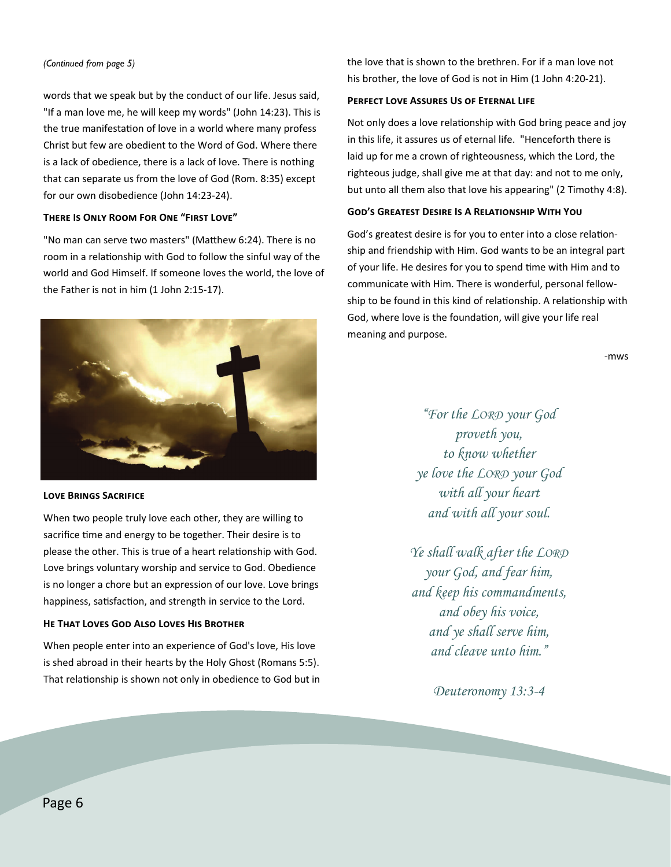#### (Continued from page 5)

words that we speak but by the conduct of our life. Jesus said, "If a man love me, he will keep my words" (John 14:23). This is the true manifestation of love in a world where many profess Christ but few are obedient to the Word of God. Where there is a lack of obedience, there is a lack of love. There is nothing that can separate us from the love of God (Rom. 8:35) except for our own disobedience (John 14:23-24).

#### THERE IS ONLY ROOM FOR ONE "FIRST LOVE"

"No man can serve two masters" (Matthew 6:24). There is no room in a relationship with God to follow the sinful way of the world and God Himself. If someone loves the world, the love of the Father is not in him (1 John 2:15-17).



#### **LOVE BRINGS SACRIFICE**

When two people truly love each other, they are willing to sacrifice time and energy to be together. Their desire is to please the other. This is true of a heart relationship with God. Love brings voluntary worship and service to God. Obedience is no longer a chore but an expression of our love. Love brings happiness, satisfaction, and strength in service to the Lord.

#### HE THAT LOVES GOD ALSO LOVES HIS BROTHER

When people enter into an experience of God's love, His love is shed abroad in their hearts by the Holy Ghost (Romans 5:5). That relationship is shown not only in obedience to God but in the love that is shown to the brethren. For if a man love not his brother, the love of God is not in Him (1 John 4:20-21).

#### **PERFECT LOVE ASSURES US OF ETERNAL LIFE**

Not only does a love relationship with God bring peace and joy in this life, it assures us of eternal life. "Henceforth there is laid up for me a crown of righteousness, which the Lord, the righteous judge, shall give me at that day: and not to me only, but unto all them also that love his appearing" (2 Timothy 4:8).

#### **GOD'S GREATEST DESIRE IS A RELATIONSHIP WITH YOU**

God's greatest desire is for you to enter into a close relationship and friendship with Him. God wants to be an integral part of your life. He desires for you to spend time with Him and to communicate with Him. There is wonderful, personal fellowship to be found in this kind of relationship. A relationship with God, where love is the foundation, will give your life real meaning and purpose.

-mws

"For the LORD your God proveth you, to know whether ye love the LORD your God with all your heart and with all your soul.

Ye shall walk after the LORD your God, and fear him, and keep his commandments, and obey his voice, and ye shall serve him, and cleave unto him."

Deuteronomy 13:3-4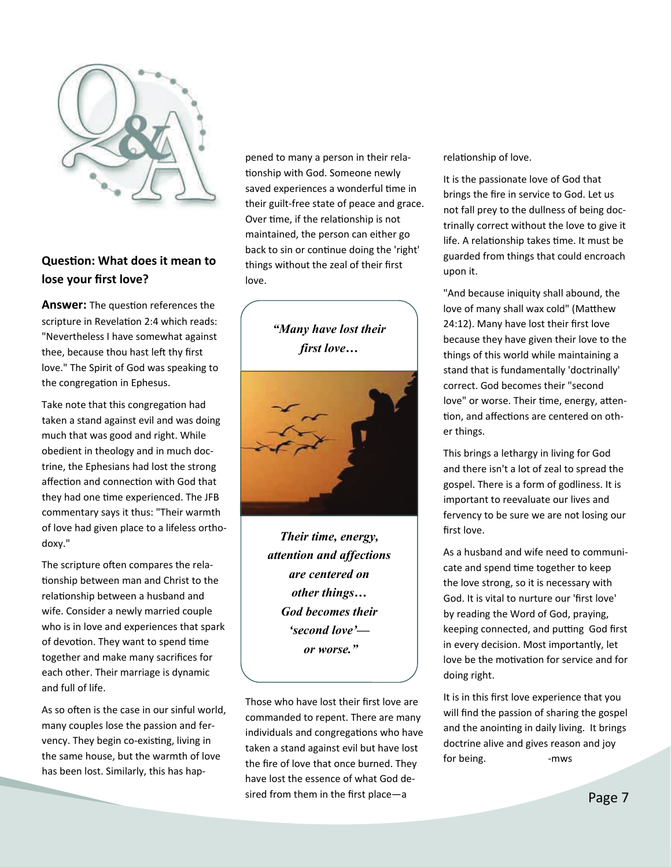

### **QuesƟon: What does it mean to lose your first love?**

**Answer:** The question references the scripture in Revelation 2:4 which reads: "Nevertheless I have somewhat against thee, because thou hast left thy first love." The Spirit of God was speaking to the congregation in Ephesus.

Take note that this congregation had taken a stand against evil and was doing much that was good and right. While obedient in theology and in much doc‐ trine, the Ephesians had lost the strong affection and connection with God that they had one time experienced. The JFB commentary says it thus: "Their warmth of love had given place to a lifeless ortho‐ doxy."

The scripture often compares the relationship between man and Christ to the relationship between a husband and wife. Consider a newly married couple who is in love and experiences that spark of devotion. They want to spend time together and make many sacrifices for each other. Their marriage is dynamic and full of life.

As so often is the case in our sinful world, many couples lose the passion and fer‐ vency. They begin co-existing, living in the same house, but the warmth of love has been lost. Similarly, this has hap‐

pened to many a person in their rela‐ tionship with God. Someone newly saved experiences a wonderful time in their guilt‐free state of peace and grace. Over time, if the relationship is not maintained, the person can either go back to sin or continue doing the 'right' things without the zeal of their first love.

> *"Many have lost their first love…*



*Their time, energy, attention and affections are centered on other things… God becomes their 'second love' or worse."* 

Those who have lost their first love are commanded to repent. There are many individuals and congregations who have taken a stand against evil but have lost the fire of love that once burned. They have lost the essence of what God de‐ sired from them in the first place—a

relationship of love.

It is the passionate love of God that brings the fire in service to God. Let us not fall prey to the dullness of being doc‐ trinally correct without the love to give it life. A relationship takes time. It must be guarded from things that could encroach upon it.

"And because iniquity shall abound, the love of many shall wax cold" (Matthew 24:12). Many have lost their first love because they have given their love to the things of this world while maintaining a stand that is fundamentally 'doctrinally' correct. God becomes their "second love" or worse. Their time, energy, attention, and affections are centered on other things.

This brings a lethargy in living for God and there isn't a lot of zeal to spread the gospel. There is a form of godliness. It is important to reevaluate our lives and fervency to be sure we are not losing our first love.

As a husband and wife need to communi‐ cate and spend time together to keep the love strong, so it is necessary with God. It is vital to nurture our 'first love' by reading the Word of God, praying, keeping connected, and putting God first in every decision. Most importantly, let love be the motivation for service and for doing right.

It is in this first love experience that you will find the passion of sharing the gospel and the anointing in daily living. It brings doctrine alive and gives reason and joy for being. ‐mws